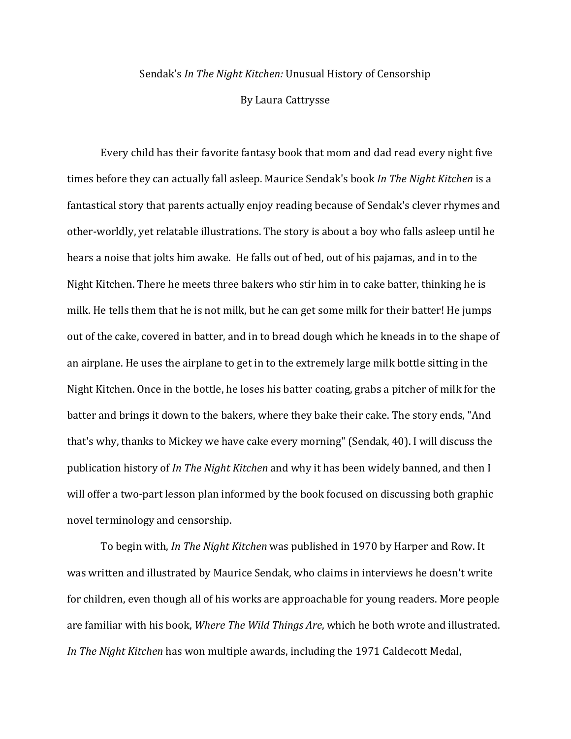## Sendak's *In The Night Kitchen:* Unusual History of Censorship

By Laura Cattrysse

Every child has their favorite fantasy book that mom and dad read every night five times before they can actually fall asleep. Maurice Sendak's book *In The Night Kitchen* is a fantastical story that parents actually enjoy reading because of Sendak's clever rhymes and other-worldly, yet relatable illustrations. The story is about a boy who falls asleep until he hears a noise that jolts him awake. He falls out of bed, out of his pajamas, and in to the Night Kitchen. There he meets three bakers who stir him in to cake batter, thinking he is milk. He tells them that he is not milk, but he can get some milk for their batter! He jumps out of the cake, covered in batter, and in to bread dough which he kneads in to the shape of an airplane. He uses the airplane to get in to the extremely large milk bottle sitting in the Night Kitchen. Once in the bottle, he loses his batter coating, grabs a pitcher of milk for the batter and brings it down to the bakers, where they bake their cake. The story ends, "And that's why, thanks to Mickey we have cake every morning" (Sendak, 40). I will discuss the publication history of *In The Night Kitchen* and why it has been widely banned, and then I will offer a two-part lesson plan informed by the book focused on discussing both graphic novel terminology and censorship.

To begin with, *In The Night Kitchen* was published in 1970 by Harper and Row. It was written and illustrated by Maurice Sendak, who claims in interviews he doesn't write for children, even though all of his works are approachable for young readers. More people are familiar with his book, *Where The Wild Things Are*, which he both wrote and illustrated. *In The Night Kitchen* has won multiple awards, including the 1971 Caldecott Medal,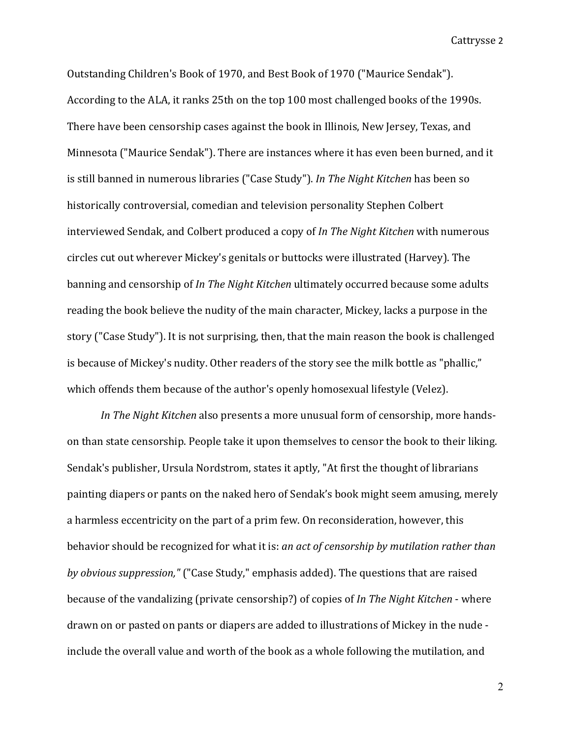Outstanding Children's Book of 1970, and Best Book of 1970 ("Maurice Sendak"). According to the ALA, it ranks 25th on the top 100 most challenged books of the 1990s. There have been censorship cases against the book in Illinois, New Jersey, Texas, and Minnesota ("Maurice Sendak"). There are instances where it has even been burned, and it is still banned in numerous libraries ("Case Study"). *In The Night Kitchen* has been so historically controversial, comedian and television personality Stephen Colbert interviewed Sendak, and Colbert produced a copy of *In The Night Kitchen* with numerous circles cut out wherever Mickey's genitals or buttocks were illustrated (Harvey). The banning and censorship of *In The Night Kitchen* ultimately occurred because some adults reading the book believe the nudity of the main character, Mickey, lacks a purpose in the story ("Case Study"). It is not surprising, then, that the main reason the book is challenged is because of Mickey's nudity. Other readers of the story see the milk bottle as "phallic," which offends them because of the author's openly homosexual lifestyle (Velez).

*In The Night Kitchen* also presents a more unusual form of censorship, more handson than state censorship. People take it upon themselves to censor the book to their liking. Sendak's publisher, Ursula Nordstrom, states it aptly, "At first the thought of librarians painting diapers or pants on the naked hero of Sendak's book might seem amusing, merely a harmless eccentricity on the part of a prim few. On reconsideration, however, this behavior should be recognized for what it is: *an act of censorship by mutilation rather than by obvious suppression,"* ("Case Study," emphasis added). The questions that are raised because of the vandalizing (private censorship?) of copies of *In The Night Kitchen* - where drawn on or pasted on pants or diapers are added to illustrations of Mickey in the nude include the overall value and worth of the book as a whole following the mutilation, and

2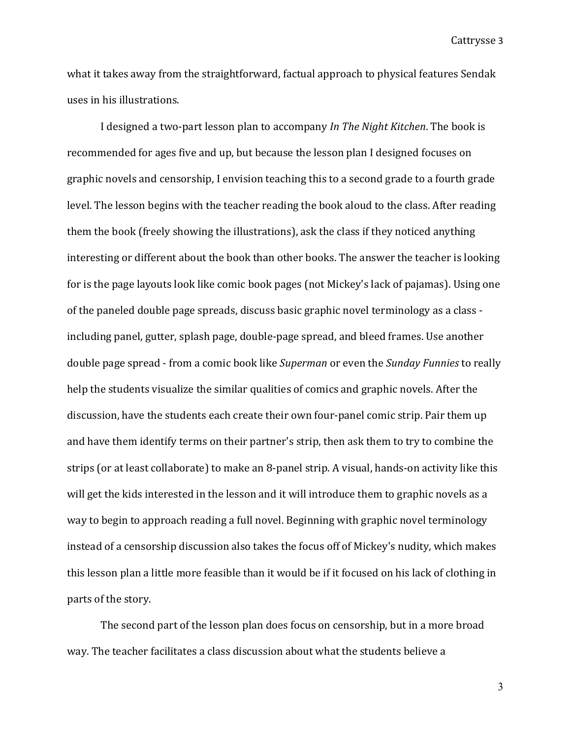what it takes away from the straightforward, factual approach to physical features Sendak uses in his illustrations.

I designed a two-part lesson plan to accompany *In The Night Kitchen*. The book is recommended for ages five and up, but because the lesson plan I designed focuses on graphic novels and censorship, I envision teaching this to a second grade to a fourth grade level. The lesson begins with the teacher reading the book aloud to the class. After reading them the book (freely showing the illustrations), ask the class if they noticed anything interesting or different about the book than other books. The answer the teacher is looking for is the page layouts look like comic book pages (not Mickey's lack of pajamas). Using one of the paneled double page spreads, discuss basic graphic novel terminology as a class including panel, gutter, splash page, double-page spread, and bleed frames. Use another double page spread - from a comic book like *Superman* or even the *Sunday Funnies* to really help the students visualize the similar qualities of comics and graphic novels. After the discussion, have the students each create their own four-panel comic strip. Pair them up and have them identify terms on their partner's strip, then ask them to try to combine the strips (or at least collaborate) to make an 8-panel strip. A visual, hands-on activity like this will get the kids interested in the lesson and it will introduce them to graphic novels as a way to begin to approach reading a full novel. Beginning with graphic novel terminology instead of a censorship discussion also takes the focus off of Mickey's nudity, which makes this lesson plan a little more feasible than it would be if it focused on his lack of clothing in parts of the story.

The second part of the lesson plan does focus on censorship, but in a more broad way. The teacher facilitates a class discussion about what the students believe a

3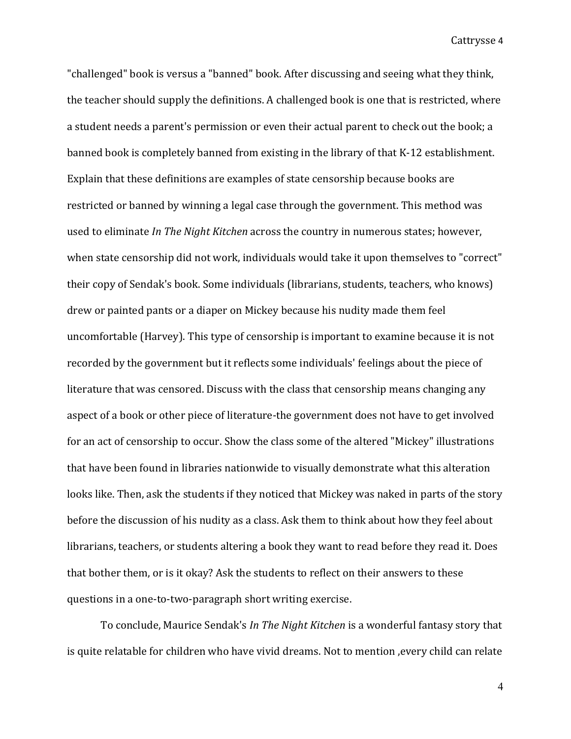"challenged" book is versus a "banned" book. After discussing and seeing what they think, the teacher should supply the definitions. A challenged book is one that is restricted, where a student needs a parent's permission or even their actual parent to check out the book; a banned book is completely banned from existing in the library of that K-12 establishment. Explain that these definitions are examples of state censorship because books are restricted or banned by winning a legal case through the government. This method was used to eliminate *In The Night Kitchen* across the country in numerous states; however, when state censorship did not work, individuals would take it upon themselves to "correct" their copy of Sendak's book. Some individuals (librarians, students, teachers, who knows) drew or painted pants or a diaper on Mickey because his nudity made them feel uncomfortable (Harvey). This type of censorship is important to examine because it is not recorded by the government but it reflects some individuals' feelings about the piece of literature that was censored. Discuss with the class that censorship means changing any aspect of a book or other piece of literature-the government does not have to get involved for an act of censorship to occur. Show the class some of the altered "Mickey" illustrations that have been found in libraries nationwide to visually demonstrate what this alteration looks like. Then, ask the students if they noticed that Mickey was naked in parts of the story before the discussion of his nudity as a class. Ask them to think about how they feel about librarians, teachers, or students altering a book they want to read before they read it. Does that bother them, or is it okay? Ask the students to reflect on their answers to these questions in a one-to-two-paragraph short writing exercise.

To conclude, Maurice Sendak's *In The Night Kitchen* is a wonderful fantasy story that is quite relatable for children who have vivid dreams. Not to mention , every child can relate

4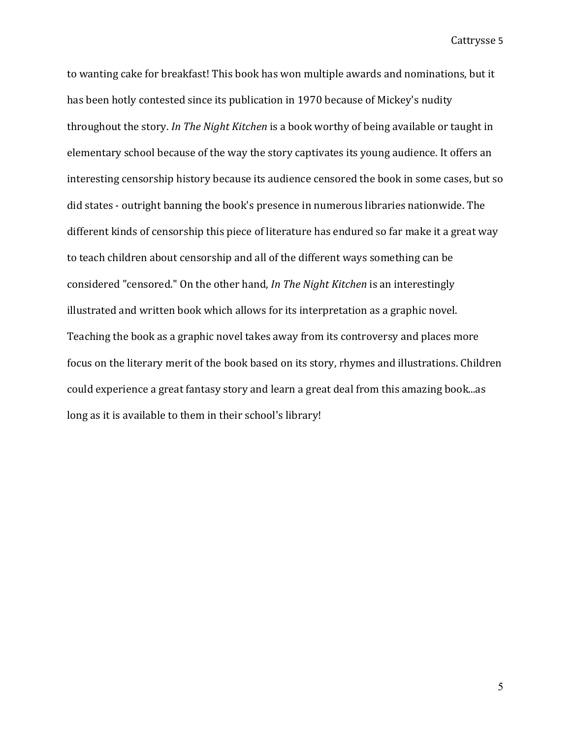to wanting cake for breakfast! This book has won multiple awards and nominations, but it has been hotly contested since its publication in 1970 because of Mickey's nudity throughout the story. In The Night Kitchen is a book worthy of being available or taught in elementary school because of the way the story captivates its young audience. It offers an interesting censorship history because its audience censored the book in some cases, but so did states - outright banning the book's presence in numerous libraries nationwide. The different kinds of censorship this piece of literature has endured so far make it a great way to teach children about censorship and all of the different ways something can be considered "censored." On the other hand, *In The Night Kitchen* is an interestingly illustrated and written book which allows for its interpretation as a graphic novel. Teaching the book as a graphic novel takes away from its controversy and places more focus on the literary merit of the book based on its story, rhymes and illustrations. Children could experience a great fantasy story and learn a great deal from this amazing book...as long as it is available to them in their school's library!